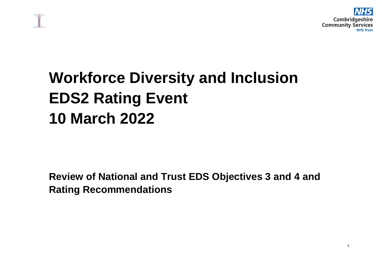



# **Workforce Diversity and Inclusion EDS2 Rating Event 10 March 2022**

**Review of National and Trust EDS Objectives 3 and 4 and Rating Recommendations**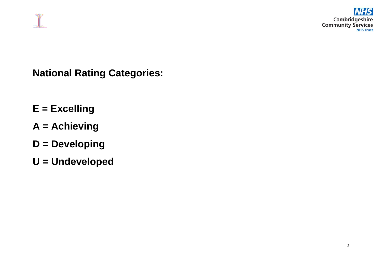



**National Rating Categories:**

- **E = Excelling**
- **A = Achieving**
- **D = Developing**
- **U = Undeveloped**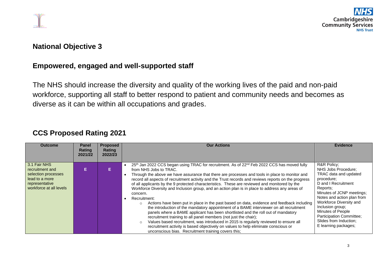

#### **National Objective 3**

# **Empowered, engaged and well-supported staff**

The NHS should increase the diversity and quality of the working lives of the paid and non-paid workforce, supporting all staff to better respond to patient and community needs and becomes as diverse as it can be within all occupations and grades.

#### **CCS Proposed Rating 2021**

| <b>Outcome</b>                                                                                                        | Panel<br>Rating<br>2021/22 | <b>Proposed</b><br>Rating<br>2022/23 | <b>Our Actions</b>                                                                                                                                                                                                                                                                                                                                                                                                                                                                                                                                                                                                                                                                                                                                                                                                                                                                                                                                                                                                                                                                                                                                                                     | <b>Evidence</b>                                                                                                                                                                                                                                                                                                                  |
|-----------------------------------------------------------------------------------------------------------------------|----------------------------|--------------------------------------|----------------------------------------------------------------------------------------------------------------------------------------------------------------------------------------------------------------------------------------------------------------------------------------------------------------------------------------------------------------------------------------------------------------------------------------------------------------------------------------------------------------------------------------------------------------------------------------------------------------------------------------------------------------------------------------------------------------------------------------------------------------------------------------------------------------------------------------------------------------------------------------------------------------------------------------------------------------------------------------------------------------------------------------------------------------------------------------------------------------------------------------------------------------------------------------|----------------------------------------------------------------------------------------------------------------------------------------------------------------------------------------------------------------------------------------------------------------------------------------------------------------------------------|
| 3.1 Fair NHS<br>recruitment and<br>selection processes<br>lead to a more<br>representative<br>workforce at all levels | Е                          | E.                                   | 25 <sup>th</sup> Jan 2022 CCS began using TRAC for recruitment. As of 22 <sup>nd</sup> Feb 2022 CCS has moved fully<br>from NHS Jobs to TRAC.<br>Through the above we have assurance that there are processes and tools in place to monitor and<br>record all aspects of recruitment activity and the Trust records and reviews reports on the progress<br>of all applicants by the 9 protected characteristics. These are reviewed and monitored by the<br>Workforce Diversity and Inclusion group, and an action plan is in place to address any areas of<br>concern.<br>Recruitment:<br>Actions have been put in place in the past based on data, evidence and feedback including<br>the introduction of the mandatory appointment of a BAME interviewer on all recruitment<br>panels where a BAME applicant has been shortlisted and the roll out of mandatory<br>recruitment training to all panel members (not just the chair);<br>Values based recruitment, was introduced in 2015 is regularly reviewed to ensure all<br>$\Omega$<br>recruitment activity is based objectively on values to help eliminate conscious or<br>unconscious bias. Recruitment training covers this; | R&R Policy;<br>NHS Jobs Procedure;<br>TRAC data and updated<br>procedure;<br>D and I Recruitment<br>Reports:<br>Minutes of JCNP meetings;<br>Notes and action plan from<br>Workforce Diversity and<br>Inclusion group;<br>Minutes of People<br><b>Participation Committee;</b><br>Slides from Induction;<br>E learning packages; |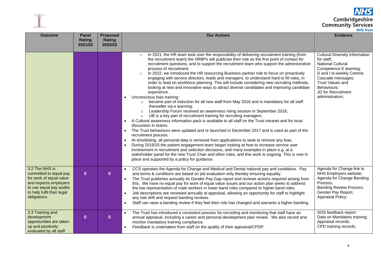



| <b>Outcome</b>                                                                                                                                                       | <b>Panel</b><br><b>Rating</b><br>2021/22 | <b>Proposed</b><br>Rating<br>2022/23 | <b>Our Actions</b>                                                                                                                                                                                                                                                                                                                                                                                                                                                                                                                                                                                                                                                                                                                                                                                                                                                                                                                                                                                                                                                                                                                                                                                                                                                                                                                                                                                                                                                                                                                                                                                                                                                                                                                                                                                                             | <b>Evidence</b>                                                                                                                                                                                                                       |
|----------------------------------------------------------------------------------------------------------------------------------------------------------------------|------------------------------------------|--------------------------------------|--------------------------------------------------------------------------------------------------------------------------------------------------------------------------------------------------------------------------------------------------------------------------------------------------------------------------------------------------------------------------------------------------------------------------------------------------------------------------------------------------------------------------------------------------------------------------------------------------------------------------------------------------------------------------------------------------------------------------------------------------------------------------------------------------------------------------------------------------------------------------------------------------------------------------------------------------------------------------------------------------------------------------------------------------------------------------------------------------------------------------------------------------------------------------------------------------------------------------------------------------------------------------------------------------------------------------------------------------------------------------------------------------------------------------------------------------------------------------------------------------------------------------------------------------------------------------------------------------------------------------------------------------------------------------------------------------------------------------------------------------------------------------------------------------------------------------------|---------------------------------------------------------------------------------------------------------------------------------------------------------------------------------------------------------------------------------------|
|                                                                                                                                                                      |                                          |                                      | In 2021, the HR team took over the responsibility of delivering recruitment training (from<br>$\circ$<br>the recruitment team) the HRBPs will publicise their role as the first point of contact for<br>recruitment questions, and to support the recruitment team who support the administrative<br>process of recruitment.<br>In 2022, we introduced the HR resourcing Business partner role to focus on proactively<br>$\circ$<br>engaging with service directors, leads and managers, to understand hard to fill roles, in<br>order to lead on workforce planning. This will include considering new recruiting methods,<br>looking at new and innovative ways to attract diverse candidates and improving candidate<br>experience.<br>Unconscious bias training:<br>$\bullet$<br>became part of induction for all new staff from May 2016 and is mandatory for all staff<br>$\circ$<br>thereafter via e learning;<br>Leadership Forum received an awareness rising session in September 2016;<br>$\circ$<br>UB is a key part of recruitment training for recruiting managers.<br>$\circ$<br>A Cultural awareness information pack is available to all staff on the Trust intranet and for local<br>$\bullet$<br>discussion in teams.<br>The Trust behaviours were updated and re launched in December 2017 and is used as part of the<br>$\bullet$<br>recruitment process.<br>At shortlisting, all personal data is removed from applications to seek to remove any bias.<br>During 2019/20 the patient engagement team began looking at how to increase service user<br>involvement in recruitment and selection decisions, and many examples in place e.g. at a<br>stakeholder panel for the new Trust Chair and other roles, and this work is ongoing. This is now in<br>place and supported by a policy for guidance. | <b>Cultural Diversity Information</b><br>for staff:<br><b>National Cultural</b><br>Competence E learning;<br>D and I bi-weekly Comms<br>Cascade messages;<br>Trust Values and<br>Behaviours;<br>JD for Recruitment<br>administrators; |
| 3.2 The NHS is<br>committed to equal pay<br>for work of equal value<br>and expects employers<br>to use equal pay audits<br>to help fulfil their legal<br>obligations | Е                                        | Е                                    | CCS operates the Agenda for Change and Medical and Dental national pay and conditions. Pay<br>and terms & conditions are based on job evaluation only thereby ensuring equality.<br>The Trust publishes annually its Gender Pay Gap report and reviews actions required arising from<br>this. We have no equal pay for work of equal value issues and our action plan seeks to address<br>the low representation of male workers in lower band roles compared to higher band roles.<br>Job descriptions are reviewed annually at appraisal, allowing an opportunity for staff to highlight<br>$\bullet$<br>any role drift and request banding reviews.<br>Staff can raise a banding review if they feel their role has changed and warrants a higher banding.<br>$\bullet$                                                                                                                                                                                                                                                                                                                                                                                                                                                                                                                                                                                                                                                                                                                                                                                                                                                                                                                                                                                                                                                     | Agenda for Change link to<br>NHS Employers website;<br>Agenda for Change Banding<br>Process;<br><b>Banding Review Process;</b><br>Gender Pay Report;<br>Appraisal Policy.                                                             |
| 3.3 Training and<br>development<br>opportunities are taken<br>up and positively<br>evaluated by all staff                                                            | Е                                        | Е                                    | The Trust has introduced a consistent process for recording and monitoring that staff have an<br>annual appraisal, including a career and personal development plan review. We also record and<br>monitor mandatory training compliance.<br>Feedback is undertaken from staff on the quality of their appraisal/CPDP.                                                                                                                                                                                                                                                                                                                                                                                                                                                                                                                                                                                                                                                                                                                                                                                                                                                                                                                                                                                                                                                                                                                                                                                                                                                                                                                                                                                                                                                                                                          | SOS feedback report;<br>Data on Mandatory training;<br>Appraisal records;<br>CPD training records;                                                                                                                                    |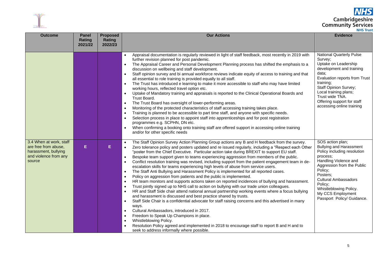



| <b>Outcome</b>                                                                                             | <b>Panel</b><br>Rating<br>2021/22 | <b>Proposed</b><br>Rating<br>2022/23 | <b>Our Actions</b>                                                                                                                                                                                                                                                                                                                                                                                                                                                                                                                                                                                                                                                                                                                                                                                                                                                                                                                                                                                                                                                                                                                                                                                                                                                                                                                                                                                                                                                                                                                                                                                     | <b>Evidence</b>                                                                                                                                                                                                                                                                                    |
|------------------------------------------------------------------------------------------------------------|-----------------------------------|--------------------------------------|--------------------------------------------------------------------------------------------------------------------------------------------------------------------------------------------------------------------------------------------------------------------------------------------------------------------------------------------------------------------------------------------------------------------------------------------------------------------------------------------------------------------------------------------------------------------------------------------------------------------------------------------------------------------------------------------------------------------------------------------------------------------------------------------------------------------------------------------------------------------------------------------------------------------------------------------------------------------------------------------------------------------------------------------------------------------------------------------------------------------------------------------------------------------------------------------------------------------------------------------------------------------------------------------------------------------------------------------------------------------------------------------------------------------------------------------------------------------------------------------------------------------------------------------------------------------------------------------------------|----------------------------------------------------------------------------------------------------------------------------------------------------------------------------------------------------------------------------------------------------------------------------------------------------|
|                                                                                                            |                                   |                                      | Appraisal documentation is regularly reviewed in light of staff feedback, most recently in 2019 with<br>further revision planned for post pandemic.<br>The Appraisal Career and Personal Development Planning process has shifted the emphasis to a<br>discussion on wellbeing and staff development.<br>Staff opinion survey and bi annual workforce reviews indicate equity of access to training and that<br>$\bullet$<br>all essential to role training is provided equally to all staff.<br>The Trust has introduced e learning to make it more accessible to staff who may have limited<br>$\bullet$<br>working hours, reflected travel option etc.<br>Uptake of Mandatory training and appraisals is reported to the Clinical Operational Boards and<br>Trust Board.<br>The Trust Board has oversight of lower-performing areas.<br>Monitoring of the protected characteristics of staff accessing training takes place.<br>$\bullet$<br>Training is planned to be accessible to part time staff, and anyone with specific needs.<br>$\bullet$<br>Selection process in place to appoint staff into apprenticeships and for post registration<br>programmes e.g. SCPHN, DN etc.<br>When confirming a booking onto training staff are offered support in accessing online training<br>and/or for other specific needs                                                                                                                                                                                                                                                                             | <b>National Quarterly Pulse</b><br>Survey;<br>Uptake on Leadership<br>development and training<br>data;<br>Evaluation reports from Trust<br>training;<br><b>Staff Opinion Survey;</b><br>Local training plans;<br>Trust wide TNA.<br>Offering support for staff<br>accessing online training       |
| 3.4 When at work, staff<br>are free from abuse,<br>harassment, bullying<br>and violence from any<br>source | Е                                 | Е                                    | The Staff Opinion Survey Action Planning Group actions any B and H feedback from the survey.<br>Zero tolerance policy and posters updated and re issued regularly, including a "Respect each Other<br>"poster from the Chief Executive. Particular action take during BREXIT to support EU staff.<br>Bespoke team support given to teams experiencing aggression from members of the public.<br>$\bullet$<br>Conflict resolution training was revised, including support from the patient engagement team in de-<br>escalation skills for teams experiencing high levels of abuse from service users.<br>The Staff Anti Bullying and Harassment Policy is implemented for all reported cases.<br>Policy on aggression from patients and the public is implemented.<br>$\bullet$<br>HR team monitors and supports actions taken on reported incidences of bullying and harassment.<br>$\bullet$<br>Trust jointly signed up to NHS call to action on bullying with our trade union colleagues.<br>$\bullet$<br>HR and Staff Side chair attend national annual partnership working events where a focus bullying<br>and harassment is discussed and best practice shared by trusts.<br>Staff Side Chair is a confidential advocate for staff raising concerns and this advertised in many<br>$\bullet$<br>ways.<br>Cultural Ambassadors, introduced in 2017.<br>Freedom to Speak Up Champions in place.<br>$\bullet$<br>Whistleblowing Policy.<br>$\bullet$<br>Resolution Policy agreed and implemented in 2018 to encourage staff to report B and H and to<br>seek to address informally where possible. | SOS action plan;<br><b>Bullying and Harassment</b><br>Policy including resolution<br>process;<br>Handling Violence and<br>Aggression from the Public<br>Policy;<br>Posters:<br><b>Cultural Ambassadors</b><br>Policy;<br>Whistleblowing Policy.<br>My CCS Employment<br>Passport Policy/ Guidance. |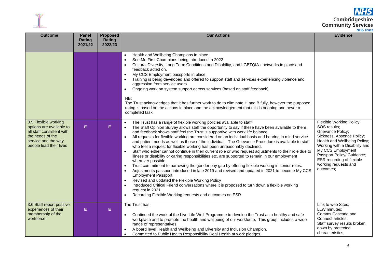



| <b>Outcome</b>                                                                                                                                      | Panel<br><b>Rating</b><br>2021/22 | <b>Proposed</b><br>Rating<br>2022/23 | <b>Our Actions</b>                                                                                                                                                                                                                                                                                                                                                                                                                                                                                                                                                                                                                                                                                                                                                                                                                                                                                                                                                                                                                                                                                                                                                                                                                                                                                              | <b>Evidence</b>                                                                                                                                                                                                                                                                  |
|-----------------------------------------------------------------------------------------------------------------------------------------------------|-----------------------------------|--------------------------------------|-----------------------------------------------------------------------------------------------------------------------------------------------------------------------------------------------------------------------------------------------------------------------------------------------------------------------------------------------------------------------------------------------------------------------------------------------------------------------------------------------------------------------------------------------------------------------------------------------------------------------------------------------------------------------------------------------------------------------------------------------------------------------------------------------------------------------------------------------------------------------------------------------------------------------------------------------------------------------------------------------------------------------------------------------------------------------------------------------------------------------------------------------------------------------------------------------------------------------------------------------------------------------------------------------------------------|----------------------------------------------------------------------------------------------------------------------------------------------------------------------------------------------------------------------------------------------------------------------------------|
|                                                                                                                                                     |                                   |                                      | Health and Wellbeing Champions in place.<br>$\bullet$<br>See Me First Champions being introduced in 2022<br>$\bullet$<br>Cultural Diversity, Long Term Conditions and Disability, and LGBTQIA+ networks in place and<br>feedback acted on.<br>My CCS Employment passports in place.<br>$\bullet$<br>Training is being developed and offered to support staff and services experiencing violence and<br>$\bullet$<br>aggression from service users<br>Ongoing work on system support across services (based on staff feedback)<br>$\bullet$<br>NB:<br>The Trust acknowledges that it has further work to do to eliminate H and B fully, however the purposed<br>rating is based on the actions in place and the acknowledgement that this is ongoing and never a<br>completed task.                                                                                                                                                                                                                                                                                                                                                                                                                                                                                                                              |                                                                                                                                                                                                                                                                                  |
| 3.5 Flexible working<br>options are available to<br>all staff consistent with<br>the needs of the<br>service and the way<br>people lead their lives | E.                                | Е                                    | The Trust has a range of flexible working policies available to staff.<br>The Staff Opinion Survey allows staff the opportunity to say if these have been available to them<br>and feedback shows staff feel the Trust is supportive with work life balance.<br>All requests for flexible working are considered on an individual basis and bearing in mind service<br>and patient needs as well as those of the individual. The Grievance Procedure is available to staff<br>who feel a request for flexible working has been unreasonably declined.<br>Staff who either cannot continue in their current role or who request adjustments to their role due to<br>illness or disability or caring responsibilities etc. are supported to remain in our employment<br>wherever possible.<br>Trust commitment to narrowing the gender pay gap by offering flexible working in senior roles.<br>$\bullet$<br>Adjustments passport introduced in late 2019 and revised and updated in 2021 to become My CCS<br>$\bullet$<br><b>Employment Passport</b><br>Revised and updated the Flexible Working Policy<br>$\bullet$<br>Introduced Critical Friend conversations where it is proposed to turn down a flexible working<br>$\bullet$<br>request in 2021<br>Recording Flexible Working requests and outcomes on ESR | Flexible Working Policy;<br>SOS results;<br>Grievance Policy;<br>Sickness, Absence Policy;<br>Health and Wellbeing Policy;<br>Working with a Disability and<br>My CCS Employment<br>Passport Policy/ Guidance;<br>ESR recording of flexible<br>working requests and<br>outcomes; |
| 3.6 Staff report positive<br>experiences of their<br>membership of the<br>workforce                                                                 | Е                                 | Е                                    | The Trust has:<br>Continued the work of the Live Life Well Programme to develop the Trust as a healthy and safe<br>workplace and to promote the health and wellbeing of our workforce. This group includes a wide<br>range of representatives.<br>A board level Health and Wellbeing and Diversity and Inclusion Champion.<br>Committed to Public Health Responsibility Deal Health at work pledges.                                                                                                                                                                                                                                                                                                                                                                                                                                                                                                                                                                                                                                                                                                                                                                                                                                                                                                            | Link to web Sites;<br>LLW minutes:<br>Comms Cascade and<br>Connect articles;<br>Staff survey results broken<br>down by protected<br>characteristics:                                                                                                                             |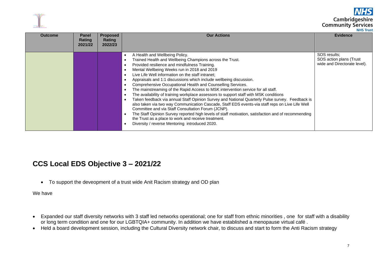#### **Cambridgeshire Community Services**

**NHS Trust** 

| <b>Outcome</b> | Panel<br>Rating<br>2021/22 | <b>Proposed</b><br>Rating<br>2022/23 | <b>Our Actions</b>                                                                                                                                                                                                                                                                                                                                                                                                                                                                                                                                                                                                                                                                                                                                                                                                                                                                                                                                                                                                                                                                                             | <b>Evidence</b>                                                         |
|----------------|----------------------------|--------------------------------------|----------------------------------------------------------------------------------------------------------------------------------------------------------------------------------------------------------------------------------------------------------------------------------------------------------------------------------------------------------------------------------------------------------------------------------------------------------------------------------------------------------------------------------------------------------------------------------------------------------------------------------------------------------------------------------------------------------------------------------------------------------------------------------------------------------------------------------------------------------------------------------------------------------------------------------------------------------------------------------------------------------------------------------------------------------------------------------------------------------------|-------------------------------------------------------------------------|
|                |                            |                                      | A Health and Wellbeing Policy.<br>Trained Health and Wellbeing Champions across the Trust.<br>Provided resilience and mindfulness Training.<br>$\bullet$<br>Mental Wellbeing Weeks run in 2018 and 2019<br>Live Life Well information on the staff intranet;<br>$\bullet$<br>Appraisals and 1:1 discussions which include wellbeing discussion.<br>Comprehensive Occupational Health and Counselling Services.<br>$\bullet$<br>The mainstreaming of the Rapid Access to MSK intervention service for all staff.<br>The availability of training workplace assessors to support staff with MSK conditions<br>Taken feedback via annual Staff Opinion Survey and National Quarterly Pulse survey. Feedback is<br>$\bullet$<br>also taken via two way Communication Cascade, Staff EDS events-via staff reps on Live Life Well<br>Committee and via Staff Consultation Forum (JCNP).<br>The Staff Opinion Survey reported high levels of staff motivation, satisfaction and of recommending<br>$\bullet$<br>the Trust as a place to work and receive treatment.<br>Diversity / reverse Mentoring introduced 2020. | SOS results;<br>SOS action plans (Trust<br>wide and Directorate level). |

#### **CCS Local EDS Objective 3 – 2021/22**

• To support the deveopment of a trust wide Anit Racism strategy and OD plan

We have

- Expanded our staff diversity networks with 3 staff led networks operational; one for staff from ethnic minorities , one for staff with a disability or long term condition and one for our LGBTQIA+ community. In addition we have established a menopause virtual café .
- Held a board development session, including the Cultural Diversity network chair, to discuss and start to form the Anti Racism strategy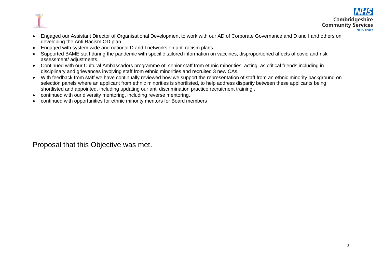



- Engaged our Assistant Director of Organisational Development to work with our AD of Corporate Governance and D and I and others on developing the Anti Racism OD plan.
- Engaged with system wide and national D and I networks on anti racism plans.
- Supported BAME staff during the pandemic with specific tailored information on vaccines, disproportioned affects of covid and risk assessment/ adjustments.
- Continued with our Cultural Ambassadors programme of senior staff from ethnic minorities, acting as critical friends including in disciplinary and grievances involving staff from ethnic minorities and recruited 3 new CAs.
- With feedback from staff we have continually reviewed how we support the representation of staff from an ethnic minority background on selection panels where an applicant from ethnic minorities is shortlisted, to help address disparity between these applicants being shortlisted and appointed, including updating our anti discrimination practice recruitment training .
- continued with our diversity mentoring, including reverse mentoring.
- continued with opportunities for ethnic minority mentors for Board members

Proposal that this Objective was met.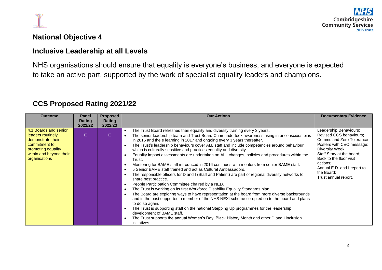

# **National Objective 4**

## **Inclusive Leadership at all Levels**

NHS organisations should ensure that equality is everyone's business, and everyone is expected to take an active part, supported by the work of specialist equality leaders and champions.

# **CCS Proposed Rating 2021/22**

| <b>Outcome</b>                                                                                                                                     | Panel<br>Rating | <b>Proposed</b><br>Rating | <b>Our Actions</b>                                                                                                                                                                                                                                                                                                                                                                                                                                                                                                                                                                                                                                                                                                                                                                                                                                                                                                                                                                                                                                                                                                                                                                                                                                                                                                                                                                                                                                                                                              | <b>Documentary Evidence</b>                                                                                                                                                                                                                                           |
|----------------------------------------------------------------------------------------------------------------------------------------------------|-----------------|---------------------------|-----------------------------------------------------------------------------------------------------------------------------------------------------------------------------------------------------------------------------------------------------------------------------------------------------------------------------------------------------------------------------------------------------------------------------------------------------------------------------------------------------------------------------------------------------------------------------------------------------------------------------------------------------------------------------------------------------------------------------------------------------------------------------------------------------------------------------------------------------------------------------------------------------------------------------------------------------------------------------------------------------------------------------------------------------------------------------------------------------------------------------------------------------------------------------------------------------------------------------------------------------------------------------------------------------------------------------------------------------------------------------------------------------------------------------------------------------------------------------------------------------------------|-----------------------------------------------------------------------------------------------------------------------------------------------------------------------------------------------------------------------------------------------------------------------|
|                                                                                                                                                    | 2022/22         | 2022/23                   |                                                                                                                                                                                                                                                                                                                                                                                                                                                                                                                                                                                                                                                                                                                                                                                                                                                                                                                                                                                                                                                                                                                                                                                                                                                                                                                                                                                                                                                                                                                 |                                                                                                                                                                                                                                                                       |
| 4.1 Boards and senior<br>leaders routinely<br>demonstrate their<br>commitment to<br>promoting equality<br>within and beyond their<br>organisations | Е               | E.                        | The Trust Board refreshes their equality and diversity training every 3 years.<br>The senior leadership team and Trust Board Chair undertook awareness rising in unconscious bias<br>in 2016 and the e learning in 2017 and ongoing every 3 years thereafter.<br>The Trust's leadership behaviours cover ALL staff and include competencies around behaviour<br>which is culturally sensitive and practices equality and diversity.<br>Equality impact assessments are undertaken on ALL changes, policies and procedures within the<br>Trust.<br>Mentoring for BAME staff introduced in 2016 continues with mentors from senior BAME staff.<br>$\bullet$<br>5 Senior BAME staff trained and act as Cultural Ambassadors.<br>$\bullet$<br>The responsible officers for D and I (Staff and Patient) are part of regional diversity networks to<br>share best practice.<br>People Participation Committee chaired by a NED.<br>$\bullet$<br>The Trust is working on its first Workforce Disability Equality Standards plan.<br>$\bullet$<br>The Board are exploring ways to have representation at the board from more diverse backgrounds<br>$\bullet$<br>and in the past supported a member of the NHS NEXt scheme co-opted on to the board and plans<br>to do so again.<br>The Trust is supporting staff on the national Stepping Up programmes for the leadership<br>development of BAME staff.<br>The Trust supports the annual Women's Day, Black History Month and other D and I inclusion<br>initiatives. | Leadership Behaviours;<br>Revised CCS behaviours;<br>Comms and Zero Tolerance<br>Posters with CEO message:<br>Diversity Week;<br>Staff Story at the board;<br>Back to the floor visit<br>actions:<br>Annual E D and I report to<br>the Board;<br>Trust annual report. |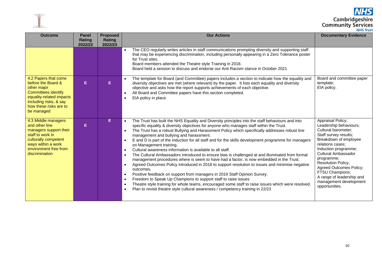



| <b>Outcome</b>                                                                                                                                                                 | <b>Panel</b><br>Rating<br>2022/22 | <b>Proposed</b><br>Rating<br>2022/23 | <b>Our Actions</b>                                                                                                                                                                                                                                                                                                                                                                                                                                                                                                                                                                                                                                                                                                                                                                                                                                                                                                                                                                                                                                                                                                                                                                                                                                                                                                 | <b>Documentary Evidence</b>                                                                                                                                                                                                                                                                                                                                      |
|--------------------------------------------------------------------------------------------------------------------------------------------------------------------------------|-----------------------------------|--------------------------------------|--------------------------------------------------------------------------------------------------------------------------------------------------------------------------------------------------------------------------------------------------------------------------------------------------------------------------------------------------------------------------------------------------------------------------------------------------------------------------------------------------------------------------------------------------------------------------------------------------------------------------------------------------------------------------------------------------------------------------------------------------------------------------------------------------------------------------------------------------------------------------------------------------------------------------------------------------------------------------------------------------------------------------------------------------------------------------------------------------------------------------------------------------------------------------------------------------------------------------------------------------------------------------------------------------------------------|------------------------------------------------------------------------------------------------------------------------------------------------------------------------------------------------------------------------------------------------------------------------------------------------------------------------------------------------------------------|
|                                                                                                                                                                                |                                   |                                      | The CEO regularly writes articles in staff communications prompting diversity and supporting staff<br>$\bullet$<br>that may be experiencing discrimination, including personally appearing in a Zero Tolerance poster<br>for Trust sites.<br>Board members attended the Theatre style Training in 2018.<br>Board held a session to discuss and endorse our Anti Racism stance in October 2021                                                                                                                                                                                                                                                                                                                                                                                                                                                                                                                                                                                                                                                                                                                                                                                                                                                                                                                      |                                                                                                                                                                                                                                                                                                                                                                  |
| 4.2 Papers that come<br>before the Board &<br>other major<br>Committees identify<br>equality-related impacts<br>including risks, & say<br>how these risks are to<br>be managed | Е                                 | Е                                    | The template for Board (and Committee) papers includes a section to indicate how the equality and<br>$\bullet$<br>diversity objectives are met (where relevant) by the paper. It lists each equality and diversity<br>objective and asks how the report supports achievements of each objective.<br>All Board and Committee papers have this section completed.<br>EIA policy in place.<br>$\bullet$                                                                                                                                                                                                                                                                                                                                                                                                                                                                                                                                                                                                                                                                                                                                                                                                                                                                                                               | Board and committee paper<br>template;<br>EIA policy.                                                                                                                                                                                                                                                                                                            |
| 4.3 Middle managers<br>and other line<br>managers support their<br>staff to work in<br>culturally competent<br>ways within a work<br>environment free from<br>discrimination   | Е                                 | Е                                    | The Trust has built the NHS Equality and Diversity principles into the staff behaviours and into<br>$\bullet$<br>specific equality & diversity objectives for anyone who manages staff within the Trust.<br>The Trust has a robust Bullying and Harassment Policy which specifically addresses robust line<br>management and bullying and harassment.<br>E and D is part of the induction for all staff and for the skills development programme for managers<br>$\bullet$<br>on Management training.<br>Cultural awareness information is available to all staff.<br>$\bullet$<br>The Cultural Ambassadors introduced to ensure bias is challenged at and illuminated from formal<br>$\bullet$<br>management procedures where is seem to have had a factor, is now embedded in the Trust.<br>Agreed Outcomes Policy introduced in 2018 to support resolution to issues and minimise negative<br>$\bullet$<br>outcomes.<br>Positive feedback on support from managers in 2019 Staff Opinion Survey.<br>$\bullet$<br>Freedom to Speak Up Champions to support staff to raise issues<br>$\bullet$<br>Theatre style training for whole teams, encouraged some staff to raise issues which were resolved.<br>$\bullet$<br>Plan to revisit theatre style cultural awareness / competency training in 22/23<br>$\bullet$ | Appraisal Policy;<br>Leadership behaviours;<br>Cultural barometer;<br>Staff survey results;<br>Breakdown of employee<br>relations cases;<br>Induction programme;<br>Cultural Ambassador<br>programme;<br><b>Resolution Policy;</b><br><b>Agreed Outcomes Policy;</b><br>FTSU Champions;<br>A range of leadership and<br>management development<br>opportunities. |